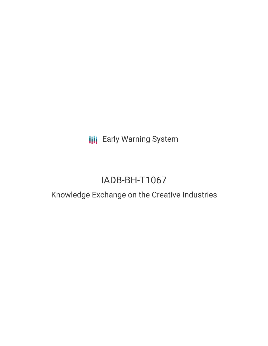**III** Early Warning System

# IADB-BH-T1067

## Knowledge Exchange on the Creative Industries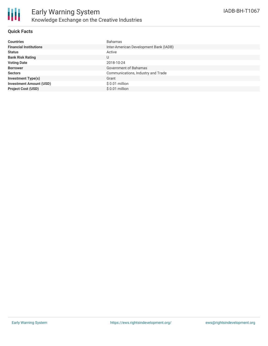

### **Quick Facts**

| <b>Countries</b>               | <b>Bahamas</b>                         |
|--------------------------------|----------------------------------------|
| <b>Financial Institutions</b>  | Inter-American Development Bank (IADB) |
| <b>Status</b>                  | Active                                 |
| <b>Bank Risk Rating</b>        | U                                      |
| <b>Voting Date</b>             | 2018-10-24                             |
| <b>Borrower</b>                | Government of Bahamas                  |
| <b>Sectors</b>                 | Communications, Industry and Trade     |
| <b>Investment Type(s)</b>      | Grant                                  |
| <b>Investment Amount (USD)</b> | $$0.01$ million                        |
| <b>Project Cost (USD)</b>      | \$ 0.01 million                        |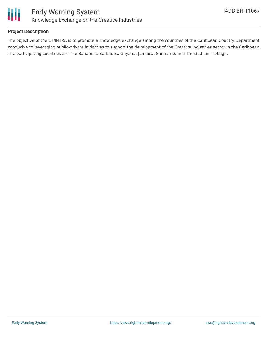

### **Project Description**

The objective of the CT/INTRA is to promote a knowledge exchange among the countries of the Caribbean Country Department conducive to leveraging public-private initiatives to support the development of the Creative Industries sector in the Caribbean. The participating countries are The Bahamas, Barbados, Guyana, Jamaica, Suriname, and Trinidad and Tobago.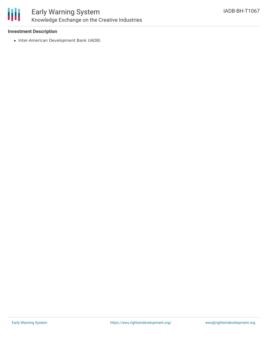

### Early Warning System Knowledge Exchange on the Creative Industries

### **Investment Description**

• Inter-American Development Bank (IADB)